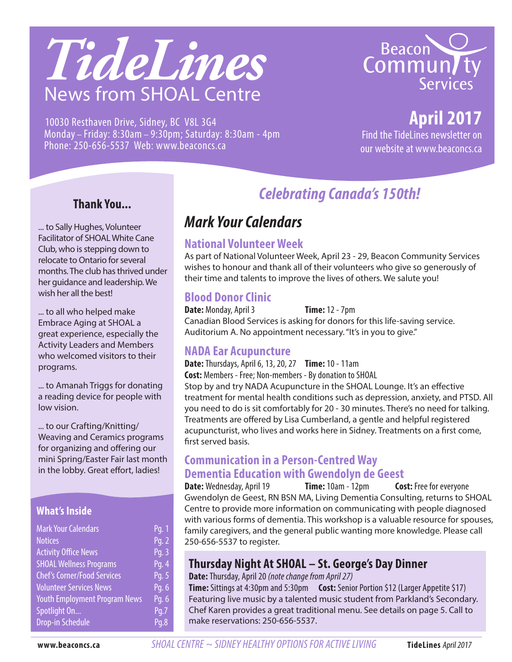# *TideLines* News from SHOAL Centre





# **April 2017**

Find the TideLines newsletter on our website at www.beaconcs.ca

#### **Thank You...**

... to Sally Hughes, Volunteer Facilitator of SHOAL White Cane Club, who is stepping down to relocate to Ontario for several months. The club has thrived under her guidance and leadership. We wish her all the best!

... to all who helped make Embrace Aging at SHOAL a great experience, especially the Activity Leaders and Members who welcomed visitors to their programs.

... to Amanah Triggs for donating a reading device for people with low vision.

... to our Crafting/Knitting/ Weaving and Ceramics programs for organizing and offering our mini Spring/Easter Fair last month in the lobby. Great effort, ladies!

#### **What's Inside**

| <b>Mark Your Calendars</b>           | Pq. 1 |
|--------------------------------------|-------|
| <b>Notices</b>                       | Pq. 2 |
| <b>Activity Office News</b>          | Pq. 3 |
| <b>SHOAL Wellness Programs</b>       | Pg. 4 |
| <b>Chef's Corner/Food Services</b>   | Pg. 5 |
| <b>Volunteer Services News</b>       | Pg. 6 |
| <b>Youth Employment Program News</b> | Pg. 6 |
| Spotlight On                         | Pq.7  |
| <b>Drop-in Schedule</b>              | Pq.8  |

# *Celebrating Canada's 150th!*

# *Mark Your Calendars*

#### **National Volunteer Week**

As part of National Volunteer Week, April 23 - 29, Beacon Community Services wishes to honour and thank all of their volunteers who give so generously of their time and talents to improve the lives of others. We salute you!

#### **Blood Donor Clinic**

**Date:** Monday, April 3 **Time:** 12 - 7pm Canadian Blood Services is asking for donors for this life-saving service. Auditorium A. No appointment necessary. "It's in you to give."

#### **NADA Ear Acupuncture**

**Date:** Thursdays, April 6, 13, 20, 27 **Time:** 10 - 11am **Cost:** Members - Free; Non-members - By donation to SHOAL Stop by and try NADA Acupuncture in the SHOAL Lounge. It's an effective treatment for mental health conditions such as depression, anxiety, and PTSD. All you need to do is sit comfortably for 20 - 30 minutes. There's no need for talking. Treatments are offered by Lisa Cumberland, a gentle and helpful registered acupuncturist, who lives and works here in Sidney. Treatments on a first come, first served basis.

#### **Communication in a Person-Centred Way Dementia Education with Gwendolyn de Geest**

**Date:** Wednesday, April 19 **Time:** 10am - 12pm **Cost:** Free for everyone Gwendolyn de Geest, RN BSN MA, Living Dementia Consulting, returns to SHOAL Centre to provide more information on communicating with people diagnosed with various forms of dementia. This workshop is a valuable resource for spouses, family caregivers, and the general public wanting more knowledge. Please call 250-656-5537 to register.

#### **Thursday Night At SHOAL – St. George's Day Dinner**

**Date:** Thursday, April 20 *(note change from April 27)*

**Time:** Sittings at 4:30pm and 5:30pm **Cost:** Senior Portion \$12 (Larger Appetite \$17) Featuring live music by a talented music student from Parkland's Secondary. Chef Karen provides a great traditional menu. See details on page 5. Call to make reservations: 250-656-5537.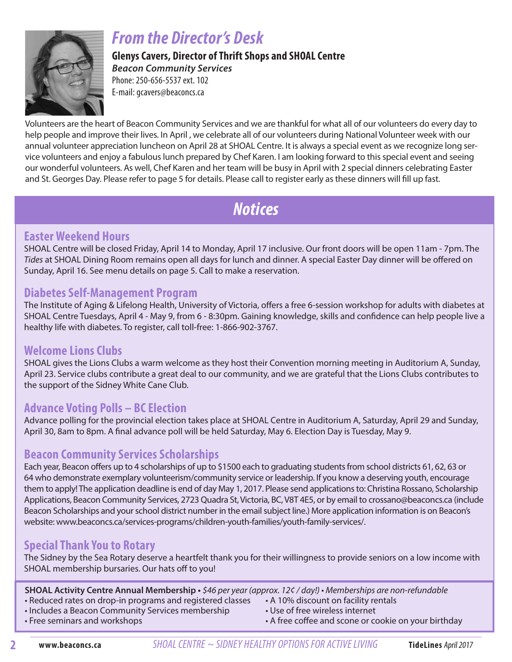

# *From the Director's Desk*

**Glenys Cavers, Director of Thrift Shops and SHOAL Centre**  *Beacon Community Services* Phone: 250-656-5537 ext. 102

E-mail: gcavers@beaconcs.ca

Volunteers are the heart of Beacon Community Services and we are thankful for what all of our volunteers do every day to help people and improve their lives. In April , we celebrate all of our volunteers during National Volunteer week with our annual volunteer appreciation luncheon on April 28 at SHOAL Centre. It is always a special event as we recognize long service volunteers and enjoy a fabulous lunch prepared by Chef Karen. I am looking forward to this special event and seeing our wonderful volunteers. As well, Chef Karen and her team will be busy in April with 2 special dinners celebrating Easter and St. Georges Day. Please refer to page 5 for details. Please call to register early as these dinners will fill up fast.

# *Notices*

#### **Easter Weekend Hours**

SHOAL Centre will be closed Friday, April 14 to Monday, April 17 inclusive. Our front doors will be open 11am - 7pm. The *Tides* at SHOAL Dining Room remains open all days for lunch and dinner. A special Easter Day dinner will be offered on Sunday, April 16. See menu details on page 5. Call to make a reservation.

#### **Diabetes Self-Management Program**

The Institute of Aging & Lifelong Health, University of Victoria, offers a free 6-session workshop for adults with diabetes at SHOAL Centre Tuesdays, April 4 - May 9, from 6 - 8:30pm. Gaining knowledge, skills and confidence can help people live a healthy life with diabetes. To register, call toll-free: 1-866-902-3767.

#### **Welcome Lions Clubs**

SHOAL gives the Lions Clubs a warm welcome as they host their Convention morning meeting in Auditorium A, Sunday, April 23. Service clubs contribute a great deal to our community, and we are grateful that the Lions Clubs contributes to the support of the Sidney White Cane Club.

### **Advance Voting Polls – BC Election**

Advance polling for the provincial election takes place at SHOAL Centre in Auditorium A, Saturday, April 29 and Sunday, April 30, 8am to 8pm. A final advance poll will be held Saturday, May 6. Election Day is Tuesday, May 9.

#### **Beacon Community Services Scholarships**

Each year, Beacon offers up to 4 scholarships of up to \$1500 each to graduating students from school districts 61, 62, 63 or 64 who demonstrate exemplary volunteerism/community service or leadership. If you know a deserving youth, encourage them to apply! The application deadline is end of day May 1, 2017. Please send applications to: Christina Rossano, Scholarship Applications, Beacon Community Services, 2723 Quadra St, Victoria, BC, V8T 4E5, or by email to crossano@beaconcs.ca (include Beacon Scholarships and your school district number in the email subject line.) More application information is on Beacon's website: www.beaconcs.ca/services-programs/children-youth-families/youth-family-services/.

#### **Special Thank You to Rotary**

The Sidney by the Sea Rotary deserve a heartfelt thank you for their willingness to provide seniors on a low income with SHOAL membership bursaries. Our hats off to you!

**SHOAL Activity Centre Annual Membership •** \$46 per year (approx. 12¢ / day!) • Memberships are non-refundable

- Reduced rates on drop-in programs and registered classes A 10% discount on facility rentals
- Includes a Beacon Community Services membership Use of free wireless internet
- 
- 
- Free seminars and workshops  **A** free coffee and scone or cookie on your birthday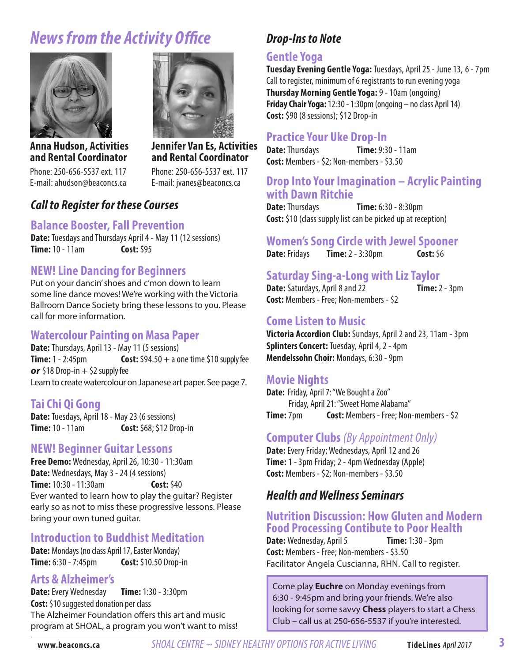# *News from the Activity Office*





**and Rental Coordinator** Phone: 250-656-5537 ext. 117 E-mail: jvanes@beaconcs.ca

**Anna Hudson, Activities and Rental Coordinator**

Phone: 250-656-5537 ext. 117 E-mail: ahudson@beaconcs.ca

#### *Call to Register for these Courses*

#### **Balance Booster, Fall Prevention**

**Date:** Tuesdays and Thursdays April 4 - May 11 (12 sessions) **Time:** 10 - 11am **Cost:** \$95

#### **NEW! Line Dancing for Beginners**

Put on your dancin' shoes and c'mon down to learn some line dance moves! We're working with the Victoria Ballroom Dance Society bring these lessons to you. Please call for more information.

#### **Watercolour Painting on Masa Paper**

**Date:** Thursdays, April 13 - May 11 (5 sessions) **Time:** 1 - 2:45pm **Cost:**  $$94.50 + a$  one time \$10 supply fee  $or$  \$18 Drop-in  $+$  \$2 supply fee Learn to create watercolour on Japanese art paper. See page 7.

#### **Tai Chi Qi Gong**

**Date:** Tuesdays, April 18 - May 23 (6 sessions) **Time:** 10 - 11am **Cost:** \$68; \$12 Drop-in

#### **NEW! Beginner Guitar Lessons**

**Free Demo:** Wednesday, April 26, 10:30 - 11:30am **Date:** Wednesdays, May 3 - 24 (4 sessions) **Time:** 10:30 - 11:30am **Cost:** \$40 Ever wanted to learn how to play the guitar? Register early so as not to miss these progressive lessons. Please bring your own tuned guitar.

#### **Introduction to Buddhist Meditation**

**Date:** Mondays (no class April 17, Easter Monday) **Time:** 6:30 - 7:45pm **Cost:** \$10.50 Drop-in

#### **Arts & Alzheimer's**

**Date:** Every Wednesday **Time:** 1:30 - 3:30pm **Cost:** \$10 suggested donation per class The Alzheimer Foundation offers this art and music program at SHOAL, a program you won't want to miss!

### *Drop-Ins to Note*

#### **Gentle Yoga**

**Tuesday Evening Gentle Yoga:** Tuesdays, April 25 - June 13, 6 - 7pm Call to register, minimum of 6 registrants to run evening yoga **Thursday Morning Gentle Yoga:** 9 - 10am (ongoing) **Friday Chair Yoga:** 12:30 - 1:30pm (ongoing – no class April 14) **Cost:** \$90 (8 sessions); \$12 Drop-in

#### **Practice Your Uke Drop-In**

**Date:** Thursdays **Time:** 9:30 - 11am **Cost:** Members - \$2; Non-members - \$3.50

# **Drop Into Your Imagination – Acrylic Painting with Dawn Ritchie**

**Time:** 6:30 - 8:30pm **Cost:** \$10 (class supply list can be picked up at reception)

# **Women's Song Circle with Jewel Spooner**

**Time:**  $2 - 3:30$ pm **Cost:**  $56$ 

**Saturday Sing-a-Long with Liz Taylor**

#### **Date:** Saturdays, April 8 and 22 **Time:** 2 - 3pm **Cost:** Members - Free; Non-members - \$2

#### **Come Listen to Music**

**Victoria Accordion Club:** Sundays, April 2 and 23, 11am - 3pm **Splinters Concert:** Tuesday, April 4, 2 - 4pm **Mendelssohn Choir: Mondays, 6:30 - 9pm** 

#### **Movie Nights**

**Date:** Friday, April 7: "We Bought a Zoo" Friday, April 21: "Sweet Home Alabama" **Time:** 7pm **Cost:** Members - Free; Non-members - \$2

#### **Computer Clubs** *(By Appointment Only)*

**Date:** Every Friday; Wednesdays, April 12 and 26 **Time:** 1 - 3pm Friday; 2 - 4pm Wednesday (Apple) **Cost:** Members - \$2; Non-members - \$3.50

#### *Health and Wellness Seminars*

#### **Nutrition Discussion: How Gluten and Modern Food Processing Contibute to Poor Health**

**Date:** Wednesday, April 5 **Time:** 1:30 - 3pm **Cost:** Members - Free; Non-members - \$3.50 Facilitator Angela Cuscianna, RHN. Call to register.

Come play **Euchre** on Monday evenings from 6:30 - 9:45pm and bring your friends. We're also looking for some savvy **Chess** players to start a Chess Club – call us at 250-656-5537 if you're interested.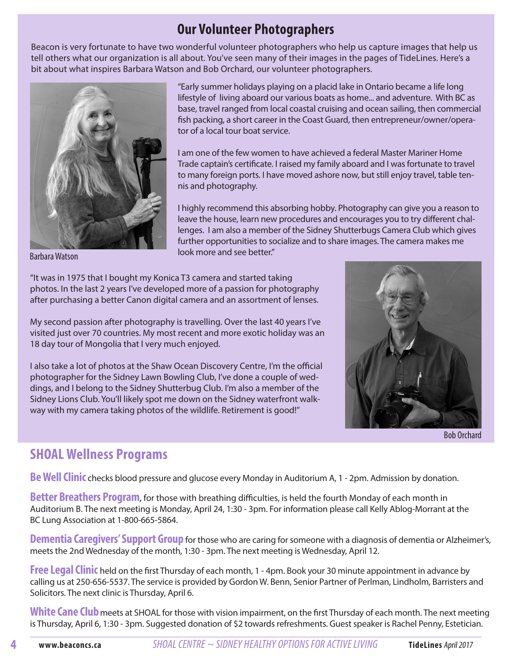### **Our Volunteer Photographers**

Beacon is very fortunate to have two wonderful volunteer photographers who help us capture images that help us tell others what our organization is all about. You've seen many of their images in the pages of TideLines. Here's a bit about what inspires Barbara Watson and Bob Orchard, our volunteer photographers.



Barbara Watson

"Early summer holidays playing on a placid lake in Ontario became a life long lifestyle of living aboard our various boats as home... and adventure. With BC as base, travel ranged from local coastal cruising and ocean sailing, then commercial fish packing, a short career in the Coast Guard, then entrepreneur/owner/operator of a local tour boat service.

I am one of the few women to have achieved a federal Master Mariner Home Trade captain's certificate. I raised my family aboard and I was fortunate to travel to many foreign ports. I have moved ashore now, but still enjoy travel, table tennis and photography.

I highly recommend this absorbing hobby. Photography can give you a reason to leave the house, learn new procedures and encourages you to try different challenges. I am also a member of the Sidney Shutterbugs Camera Club which gives further opportunities to socialize and to share images. The camera makes me look more and see better."

"It was in 1975 that I bought my Konica T3 camera and started taking photos. In the last 2 years I've developed more of a passion for photography after purchasing a better Canon digital camera and an assortment of lenses.

My second passion after photography is travelling. Over the last 40 years I've visited just over 70 countries. My most recent and more exotic holiday was an 18 day tour of Mongolia that I very much enjoyed.

I also take a lot of photos at the Shaw Ocean Discovery Centre, I'm the official photographer for the Sidney Lawn Bowling Club, I've done a couple of weddings, and I belong to the Sidney Shutterbug Club. I'm also a member of the Sidney Lions Club. You'll likely spot me down on the Sidney waterfront walkway with my camera taking photos of the wildlife. Retirement is good!"

### **SHOAL Wellness Programs**



Bob Orchard

**Be Well Clinic** checks blood pressure and glucose every Monday in Auditorium A, 1 - 2pm. Admission by donation.

**Better Breathers Program**, for those with breathing difficulties, is held the fourth Monday of each month in Auditorium B. The next meeting is Monday, April 24, 1:30 - 3pm. For information please call Kelly Ablog-Morrant at the BC Lung Association at 1-800-665-5864.

**Dementia Caregivers' Support Group** for those who are caring for someone with a diagnosis of dementia or Alzheimer's, meets the 2nd Wednesday of the month, 1:30 - 3pm. The next meeting is Wednesday, April 12.

**Free Legal Clinic** held on the first Thursday of each month, 1 - 4pm. Book your 30 minute appointment in advance by calling us at 250-656-5537. The service is provided by Gordon W. Benn, Senior Partner of Perlman, Lindholm, Barristers and Solicitors. The next clinic is Thursday, April 6.

White Cane Club meets at SHOAL for those with vision impairment, on the first Thursday of each month. The next meeting is Thursday, April 6, 1:30 - 3pm. Suggested donation of \$2 towards refreshments. Guest speaker is Rachel Penny, Estetician.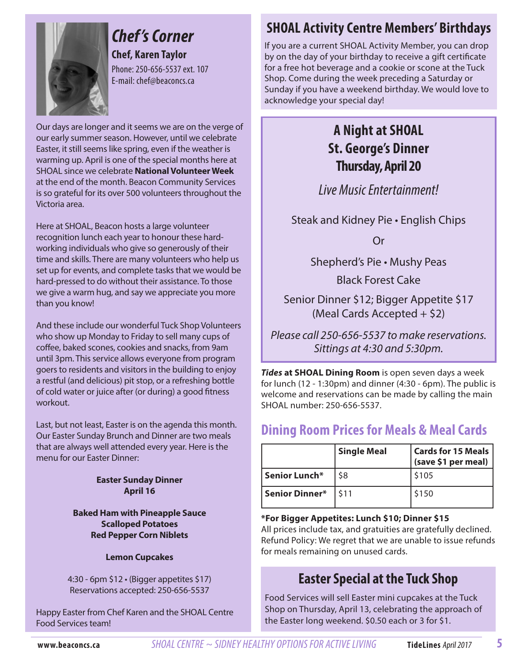

# *Chef 's Corner*

**Chef, Karen Taylor** Phone: 250-656-5537 ext. 107 E-mail: chef@beaconcs.ca

Our days are longer and it seems we are on the verge of our early summer season. However, until we celebrate Easter, it still seems like spring, even if the weather is warming up. April is one of the special months here at SHOAL since we celebrate **National Volunteer Week** at the end of the month. Beacon Community Services is so grateful for its over 500 volunteers throughout the Victoria area.

Here at SHOAL, Beacon hosts a large volunteer recognition lunch each year to honour these hardworking individuals who give so generously of their time and skills. There are many volunteers who help us set up for events, and complete tasks that we would be hard-pressed to do without their assistance. To those we give a warm hug, and say we appreciate you more than you know!

And these include our wonderful Tuck Shop Volunteers who show up Monday to Friday to sell many cups of coffee, baked scones, cookies and snacks, from 9am until 3pm. This service allows everyone from program goers to residents and visitors in the building to enjoy a restful (and delicious) pit stop, or a refreshing bottle of cold water or juice after (or during) a good fitness workout.

Last, but not least, Easter is on the agenda this month. Our Easter Sunday Brunch and Dinner are two meals that are always well attended every year. Here is the menu for our Easter Dinner:

#### **Easter Sunday Dinner April 16**

**Baked Ham with Pineapple Sauce Scalloped Potatoes Red Pepper Corn Niblets**

#### **Lemon Cupcakes**

4:30 - 6pm \$12 • (Bigger appetites \$17) Reservations accepted: 250-656-5537

Happy Easter from Chef Karen and the SHOAL Centre Food Services team!

# **SHOAL Activity Centre Members' Birthdays**

If you are a current SHOAL Activity Member, you can drop by on the day of your birthday to receive a gift certificate for a free hot beverage and a cookie or scone at the Tuck Shop. Come during the week preceding a Saturday or Sunday if you have a weekend birthday. We would love to acknowledge your special day!

## **A Night at SHOAL St. George's Dinner Thursday, April 20**

*Live Music Entertainment!*

Steak and Kidney Pie • English Chips

Or

Shepherd's Pie • Mushy Peas

Black Forest Cake

Senior Dinner \$12; Bigger Appetite \$17 (Meal Cards Accepted + \$2)

Please call 250-656-5537 to make reservations. Sittings at 4:30 and 5:30pm.

*Tides* **at SHOAL Dining Room** is open seven days a week for lunch (12 - 1:30pm) and dinner (4:30 - 6pm). The public is welcome and reservations can be made by calling the main SHOAL number: 250-656-5537.

### **Dining Room Prices for Meals & Meal Cards**

|                       | <b>Single Meal</b> | <b>Cards for 15 Meals</b><br>(save \$1 per meal) |  |  |  |  |  |  |
|-----------------------|--------------------|--------------------------------------------------|--|--|--|--|--|--|
| Senior Lunch*         | \$8                | \$105                                            |  |  |  |  |  |  |
| <b>Senior Dinner*</b> | \$11               | \$150                                            |  |  |  |  |  |  |

#### **\*For Bigger Appetites: Lunch \$10; Dinner \$15**

All prices include tax, and gratuities are gratefully declined. Refund Policy: We regret that we are unable to issue refunds for meals remaining on unused cards.

### **Easter Special at the Tuck Shop**

Food Services will sell Easter mini cupcakes at the Tuck Shop on Thursday, April 13, celebrating the approach of the Easter long weekend. \$0.50 each or 3 for \$1.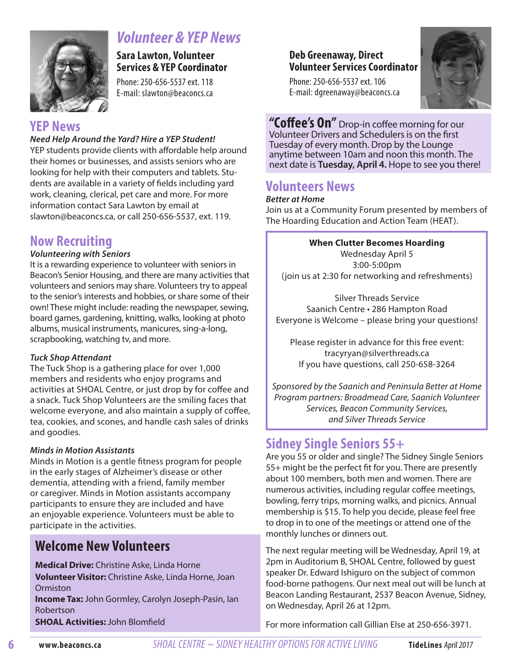

# *Volunteer & YEP News*

**Sara Lawton, Volunteer Services & YEP Coordinator** 

Phone: 250-656-5537 ext. 118 E-mail: slawton@beaconcs.ca

#### **YEP News**

#### *Need Help Around the Yard? Hire a YEP Student!*

YEP students provide clients with affordable help around their homes or businesses, and assists seniors who are looking for help with their computers and tablets. Students are available in a variety of fields including yard work, cleaning, clerical, pet care and more. For more information contact Sara Lawton by email at slawton@beaconcs.ca, or call 250-656-5537, ext. 119.

# **Now Recruiting**

#### *Volunteering with Seniors*

It is a rewarding experience to volunteer with seniors in Beacon's Senior Housing, and there are many activities that volunteers and seniors may share. Volunteers try to appeal to the senior's interests and hobbies, or share some of their own! These might include: reading the newspaper, sewing, board games, gardening, knitting, walks, looking at photo albums, musical instruments, manicures, sing-a-long, scrapbooking, watching tv, and more.

#### *Tuck Shop Attendant*

The Tuck Shop is a gathering place for over 1,000 members and residents who enjoy programs and activities at SHOAL Centre, or just drop by for coffee and a snack. Tuck Shop Volunteers are the smiling faces that welcome everyone, and also maintain a supply of coffee, tea, cookies, and scones, and handle cash sales of drinks and goodies.

#### *Minds in Motion Assistants*

Minds in Motion is a gentle fitness program for people in the early stages of Alzheimer's disease or other dementia, attending with a friend, family member or caregiver. Minds in Motion assistants accompany participants to ensure they are included and have an enjoyable experience. Volunteers must be able to participate in the activities.

### **Welcome New Volunteers**

**Medical Drive:** Christine Aske, Linda Horne **Volunteer Visitor:** Christine Aske, Linda Horne, Joan Ormiston

**Income Tax:** John Gormley, Carolyn Joseph-Pasin, Ian Robertson

**SHOAL Activities:** John Blomfield

#### **Deb Greenaway, Direct Volunteer Services Coordinator**

Phone: 250-656-5537 ext. 106 E-mail: dgreenaway@beaconcs.ca



**"Coffee's On"** Drop-in coffee morning for our Volunteer Drivers and Schedulers is on the first Tuesday of every month. Drop by the Lounge anytime between 10am and noon this month. The next date is **Tuesday, April 4.** Hope to see you there!

# **Volunteers News**

#### *Better at Home*

Join us at a Community Forum presented by members of The Hoarding Education and Action Team (HEAT).

#### **When Clutter Becomes Hoarding**

Wednesday April 5 3:00-5:00pm (join us at 2:30 for networking and refreshments)

Silver Threads Service Saanich Centre • 286 Hampton Road Everyone is Welcome – please bring your questions!

Please register in advance for this free event: tracyryan@silverthreads.ca If you have questions, call 250-658-3264

Sponsored by the Saanich and Peninsula Better at Home Program partners: Broadmead Care, Saanich Volunteer Services, Beacon Community Services, and Silver Threads Service

# **Sidney Single Seniors 55+**

Are you 55 or older and single? The Sidney Single Seniors 55+ might be the perfect fit for you. There are presently about 100 members, both men and women. There are numerous activities, including regular coffee meetings, bowling, ferry trips, morning walks, and picnics. Annual membership is \$15. To help you decide, please feel free to drop in to one of the meetings or attend one of the monthly lunches or dinners out.

The next regular meeting will be Wednesday, April 19, at 2pm in Auditorium B, SHOAL Centre, followed by guest speaker Dr. Edward Ishiguro on the subject of common food-borne pathogens. Our next meal out will be lunch at Beacon Landing Restaurant, 2537 Beacon Avenue, Sidney, on Wednesday, April 26 at 12pm.

For more information call Gillian Else at 250-656-3971.

**6**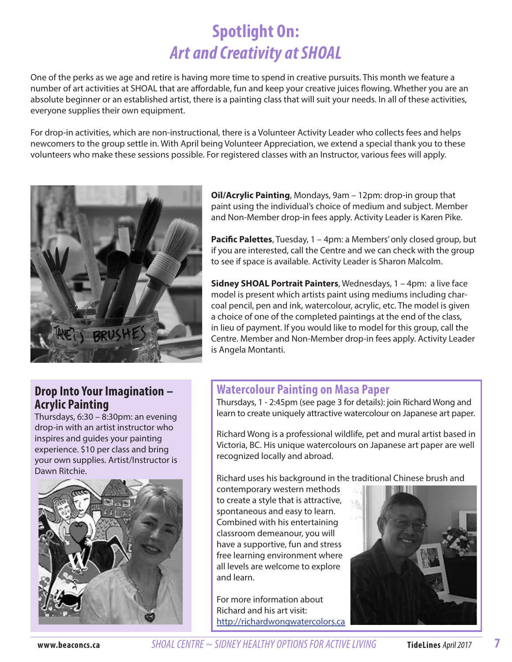# **Spotlight On:** *Art and Creativity at SHOAL*

One of the perks as we age and retire is having more time to spend in creative pursuits. This month we feature a number of art activities at SHOAL that are affordable, fun and keep your creative juices flowing. Whether you are an absolute beginner or an established artist, there is a painting class that will suit your needs. In all of these activities, everyone supplies their own equipment.

For drop-in activities, which are non-instructional, there is a Volunteer Activity Leader who collects fees and helps newcomers to the group settle in. With April being Volunteer Appreciation, we extend a special thank you to these volunteers who make these sessions possible. For registered classes with an Instructor, various fees will apply.



#### **Drop Into Your Imagination – Acrylic Painting**

Thursdays, 6:30 – 8:30pm: an evening drop-in with an artist instructor who inspires and guides your painting experience. \$10 per class and bring your own supplies. Artist/Instructor is Dawn Ritchie.



**Oil/Acrylic Painting**, Mondays, 9am – 12pm: drop-in group that paint using the individual's choice of medium and subject. Member and Non-Member drop-in fees apply. Activity Leader is Karen Pike.

**Pacific Palettes**, Tuesday, 1 – 4pm: a Members' only closed group, but if you are interested, call the Centre and we can check with the group to see if space is available. Activity Leader is Sharon Malcolm.

**Sidney SHOAL Portrait Painters**, Wednesdays, 1 – 4pm: a live face model is present which artists paint using mediums including charcoal pencil, pen and ink, watercolour, acrylic, etc. The model is given a choice of one of the completed paintings at the end of the class, in lieu of payment. If you would like to model for this group, call the Centre. Member and Non-Member drop-in fees apply. Activity Leader is Angela Montanti.

#### **Watercolour Painting on Masa Paper**

Thursdays, 1 - 2:45pm (see page 3 for details): join Richard Wong and learn to create uniquely attractive watercolour on Japanese art paper.

Richard Wong is a professional wildlife, pet and mural artist based in Victoria, BC. His unique watercolours on Japanese art paper are well recognized locally and abroad.

Richard uses his background in the traditional Chinese brush and

contemporary western methods to create a style that is attractive, spontaneous and easy to learn. Combined with his entertaining classroom demeanour, you will have a supportive, fun and stress free learning environment where all levels are welcome to explore and learn.

For more information about Richard and his art visit: http://richardwongwatercolors.ca



**www.beaconcs.ca** *SHOAL CENTRE ~ SIDNEY HEALTHY OPTIONS FOR ACTIVE LIVING* **TideLines** April 2017

**7**